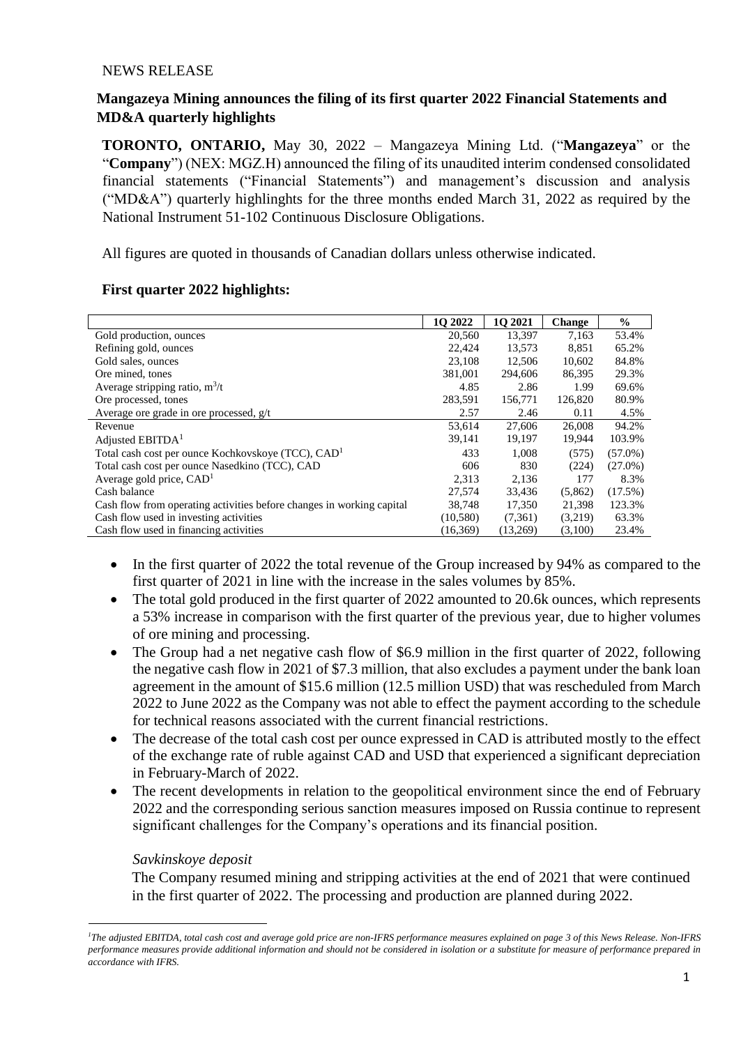#### NEWS RELEASE

## **Mangazeya Mining announces the filing of its first quarter 2022 Financial Statements and MD&A quarterly highlights**

**TORONTO, ONTARIO,** May 30, 2022 – Mangazeya Mining Ltd. ("**Mangazeya**" or the "**Company**") (NEX: MGZ.H) announced the filing of its unaudited interim condensed consolidated financial statements ("Financial Statements") and management's discussion and analysis ("MD&A") quarterly highlinghts for the three months ended March 31, 2022 as required by the National Instrument 51-102 Continuous Disclosure Obligations.

All figures are quoted in thousands of Canadian dollars unless otherwise indicated.

|                                                                       | 10 2022  | 1Q 2021  | <b>Change</b> | $\%$       |
|-----------------------------------------------------------------------|----------|----------|---------------|------------|
| Gold production, ounces                                               | 20,560   | 13,397   | 7,163         | 53.4%      |
| Refining gold, ounces                                                 | 22,424   | 13,573   | 8,851         | 65.2%      |
| Gold sales, ounces                                                    | 23,108   | 12.506   | 10,602        | 84.8%      |
| Ore mined, tones                                                      | 381.001  | 294,606  | 86.395        | 29.3%      |
| Average stripping ratio, $m^3/t$                                      | 4.85     | 2.86     | 1.99          | 69.6%      |
| Ore processed, tones                                                  | 283,591  | 156,771  | 126,820       | 80.9%      |
| Average ore grade in ore processed, $g/t$                             | 2.57     | 2.46     | 0.11          | 4.5%       |
| Revenue                                                               | 53,614   | 27,606   | 26,008        | 94.2%      |
| Adjusted EBITDA <sup>1</sup>                                          | 39,141   | 19,197   | 19,944        | 103.9%     |
| Total cash cost per ounce Kochkovskoye (TCC), CAD <sup>1</sup>        | 433      | 1.008    | (575)         | $(57.0\%)$ |
| Total cash cost per ounce Nasedkino (TCC), CAD                        | 606      | 830      | (224)         | $(27.0\%)$ |
| Average gold price, $CAD1$                                            | 2,313    | 2,136    | 177           | 8.3%       |
| Cash balance                                                          | 27,574   | 33,436   | (5,862)       | $(17.5\%)$ |
| Cash flow from operating activities before changes in working capital | 38,748   | 17,350   | 21,398        | 123.3%     |
| Cash flow used in investing activities                                | (10,580) | (7,361)  | (3,219)       | 63.3%      |
| Cash flow used in financing activities                                | (16,369) | (13,269) | (3,100)       | 23.4%      |

## **First quarter 2022 highlights:**

- In the first quarter of 2022 the total revenue of the Group increased by 94% as compared to the first quarter of 2021 in line with the increase in the sales volumes by 85%.
- The total gold produced in the first quarter of 2022 amounted to 20.6k ounces, which represents a 53% increase in comparison with the first quarter of the previous year, due to higher volumes of ore mining and processing.
- The Group had a net negative cash flow of \$6.9 million in the first quarter of 2022, following the negative cash flow in 2021 of \$7.3 million, that also excludes a payment under the bank loan agreement in the amount of \$15.6 million (12.5 million USD) that was rescheduled from March 2022 to June 2022 as the Company was not able to effect the payment according to the schedule for technical reasons associated with the current financial restrictions.
- The decrease of the total cash cost per ounce expressed in CAD is attributed mostly to the effect of the exchange rate of ruble against CAD and USD that experienced a significant depreciation in February-March of 2022.
- The recent developments in relation to the geopolitical environment since the end of February 2022 and the corresponding serious sanction measures imposed on Russia continue to represent significant challenges for the Company's operations and its financial position.

## *Savkinskoye deposit*

 $\ddot{\phantom{a}}$ 

The Company resumed mining and stripping activities at the end of 2021 that were continued in the first quarter of 2022. The processing and production are planned during 2022.

*<sup>1</sup>The adjusted EBITDA, total cash cost and average gold price are non-IFRS performance measures explained on page 3 of this News Release. Non-IFRS performance measures provide additional information and should not be considered in isolation or a substitute for measure of performance prepared in accordance with IFRS.*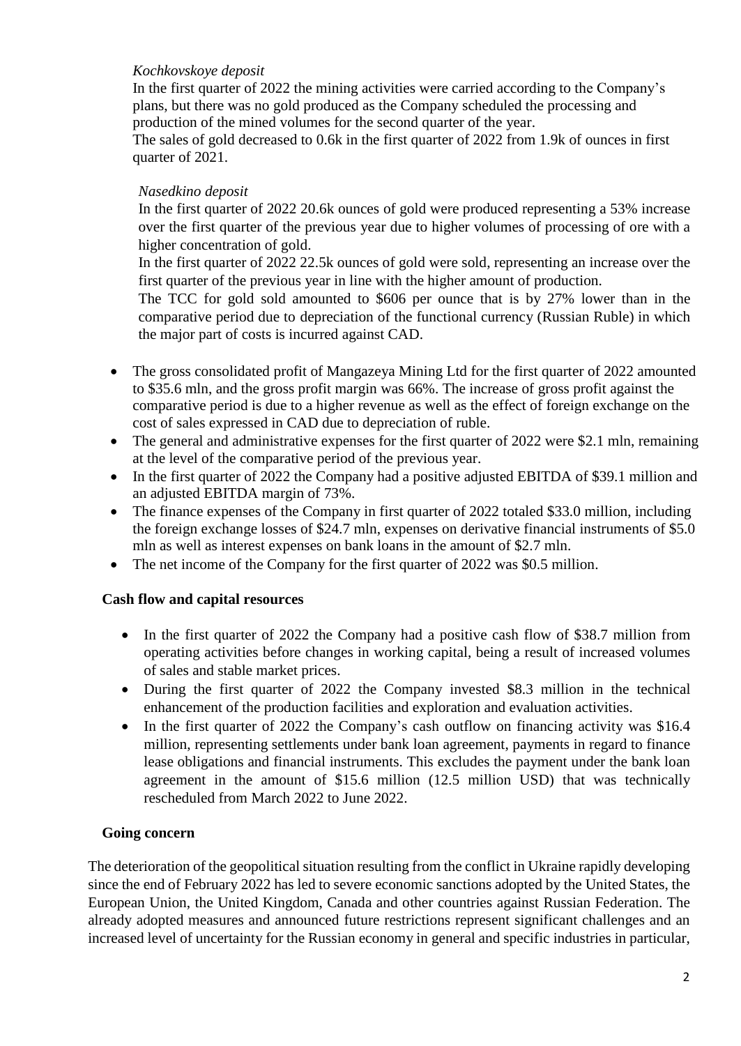## *Kochkovskoye deposit*

In the first quarter of 2022 the mining activities were carried according to the Company's plans, but there was no gold produced as the Company scheduled the processing and production of the mined volumes for the second quarter of the year.

The sales of gold decreased to 0.6k in the first quarter of 2022 from 1.9k of ounces in first quarter of 2021.

# *Nasedkino deposit*

In the first quarter of 2022 20.6k ounces of gold were produced representing a 53% increase over the first quarter of the previous year due to higher volumes of processing of ore with a higher concentration of gold.

In the first quarter of 2022 22.5k ounces of gold were sold, representing an increase over the first quarter of the previous year in line with the higher amount of production.

The TCC for gold sold amounted to \$606 per ounce that is by 27% lower than in the comparative period due to depreciation of the functional currency (Russian Ruble) in which the major part of costs is incurred against CAD.

- The gross consolidated profit of Mangazeya Mining Ltd for the first quarter of 2022 amounted to \$35.6 mln, and the gross profit margin was 66%. The increase of gross profit against the comparative period is due to a higher revenue as well as the effect of foreign exchange on the cost of sales expressed in CAD due to depreciation of ruble.
- The general and administrative expenses for the first quarter of 2022 were \$2.1 mln, remaining at the level of the comparative period of the previous year.
- In the first quarter of 2022 the Company had a positive adjusted EBITDA of \$39.1 million and an adjusted EBITDA margin of 73%.
- The finance expenses of the Company in first quarter of 2022 totaled \$33.0 million, including the foreign exchange losses of \$24.7 mln, expenses on derivative financial instruments of \$5.0 mln as well as interest expenses on bank loans in the amount of \$2.7 mln.
- The net income of the Company for the first quarter of 2022 was \$0.5 million.

# **Cash flow and capital resources**

- In the first quarter of 2022 the Company had a positive cash flow of \$38.7 million from operating activities before changes in working capital, being a result of increased volumes of sales and stable market prices.
- During the first quarter of 2022 the Company invested \$8.3 million in the technical enhancement of the production facilities and exploration and evaluation activities.
- In the first quarter of 2022 the Company's cash outflow on financing activity was \$16.4 million, representing settlements under bank loan agreement, payments in regard to finance lease obligations and financial instruments. This excludes the payment under the bank loan agreement in the amount of \$15.6 million (12.5 million USD) that was technically rescheduled from March 2022 to June 2022.

## **Going concern**

The deterioration of the geopolitical situation resulting from the conflict in Ukraine rapidly developing since the end of February 2022 has led to severe economic sanctions adopted by the United States, the European Union, the United Kingdom, Canada and other countries against Russian Federation. The already adopted measures and announced future restrictions represent significant challenges and an increased level of uncertainty for the Russian economy in general and specific industries in particular,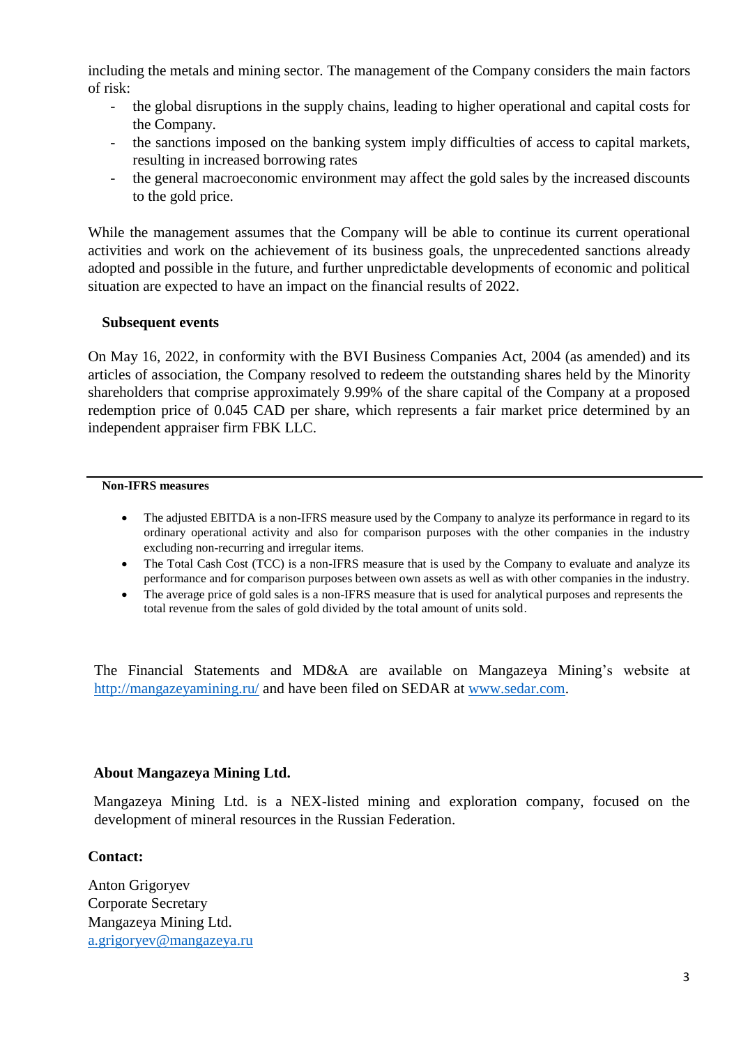including the metals and mining sector. The management of the Company considers the main factors of risk:

- the global disruptions in the supply chains, leading to higher operational and capital costs for the Company.
- the sanctions imposed on the banking system imply difficulties of access to capital markets, resulting in increased borrowing rates
- the general macroeconomic environment may affect the gold sales by the increased discounts to the gold price.

While the management assumes that the Company will be able to continue its current operational activities and work on the achievement of its business goals, the unprecedented sanctions already adopted and possible in the future, and further unpredictable developments of economic and political situation are expected to have an impact on the financial results of 2022.

#### **Subsequent events**

On May 16, 2022, in conformity with the BVI Business Companies Act, 2004 (as amended) and its articles of association, the Company resolved to redeem the outstanding shares held by the Minority shareholders that comprise approximately 9.99% of the share capital of the Company at a proposed redemption price of 0.045 CAD per share, which represents a fair market price determined by an independent appraiser firm FBK LLC.

#### **Non-IFRS measures**

- The adjusted EBITDA is a non-IFRS measure used by the Company to analyze its performance in regard to its ordinary operational activity and also for comparison purposes with the other companies in the industry excluding non-recurring and irregular items.
- The Total Cash Cost (TCC) is a non-IFRS measure that is used by the Company to evaluate and analyze its performance and for comparison purposes between own assets as well as with other companies in the industry.
- The average price of gold sales is a non-IFRS measure that is used for analytical purposes and represents the total revenue from the sales of gold divided by the total amount of units sold.

The Financial Statements and MD&A are available on Mangazeya Mining's website at <http://mangazeyamining.ru/> [a](http://mangazeyamining.ru/)nd have been filed on SEDAR [at www.sedar.com.](http://www.sedar.com/)

## **About Mangazeya Mining Ltd.**

Mangazeya Mining Ltd. is a NEX-listed mining and exploration company, focused on the development of mineral resources in the Russian Federation.

## **Contact:**

Anton Grigoryev Corporate Secretary Mangazeya Mining Ltd. a.grigoryev@mangazeya.ru